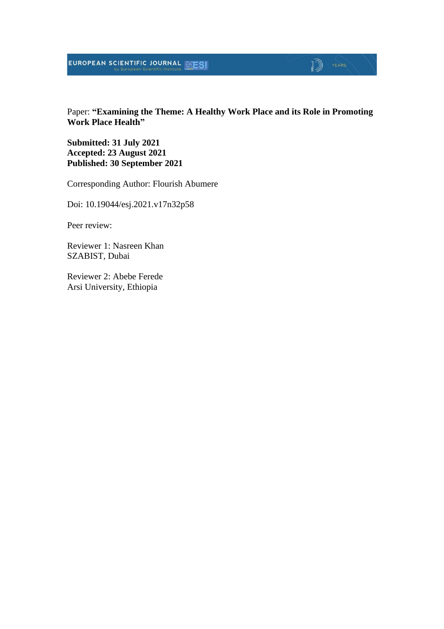Paper: **"Examining the Theme: A Healthy Work Place and its Role in Promoting Work Place Health"**

**Submitted: 31 July 2021 Accepted: 23 August 2021 Published: 30 September 2021**

Corresponding Author: Flourish Abumere

Doi: 10.19044/esj.2021.v17n32p58

Peer review:

Reviewer 1: Nasreen Khan SZABIST, Dubai

Reviewer 2: Abebe Ferede Arsi University, Ethiopia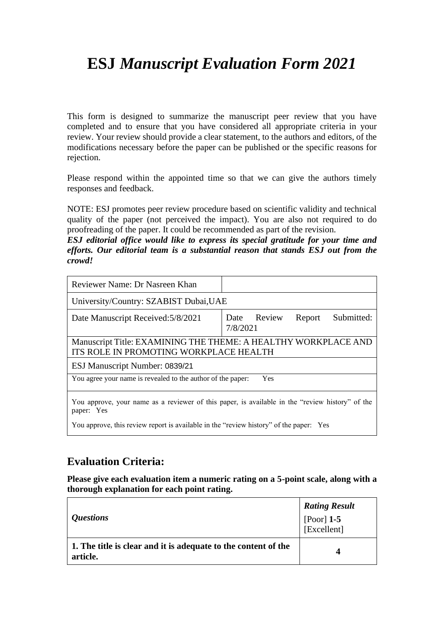# **ESJ** *Manuscript Evaluation Form 2021*

This form is designed to summarize the manuscript peer review that you have completed and to ensure that you have considered all appropriate criteria in your review. Your review should provide a clear statement, to the authors and editors, of the modifications necessary before the paper can be published or the specific reasons for rejection.

Please respond within the appointed time so that we can give the authors timely responses and feedback.

NOTE: ESJ promotes peer review procedure based on scientific validity and technical quality of the paper (not perceived the impact). You are also not required to do proofreading of the paper. It could be recommended as part of the revision.

*ESJ editorial office would like to express its special gratitude for your time and efforts. Our editorial team is a substantial reason that stands ESJ out from the crowd!*

| Reviewer Name: Dr Nasreen Khan                                                                           |                                                                                                 |  |
|----------------------------------------------------------------------------------------------------------|-------------------------------------------------------------------------------------------------|--|
| University/Country: SZABIST Dubai, UAE                                                                   |                                                                                                 |  |
| Date Manuscript Received: 5/8/2021                                                                       | Date Review<br>Submitted:<br>Report<br>7/8/2021                                                 |  |
| Manuscript Title: EXAMINING THE THEME: A HEALTHY WORKPLACE AND<br>ITS ROLE IN PROMOTING WORKPLACE HEALTH |                                                                                                 |  |
| ESJ Manuscript Number: 0839/21                                                                           |                                                                                                 |  |
| You agree your name is revealed to the author of the paper:                                              | Yes                                                                                             |  |
| paper: Yes                                                                                               | You approve, your name as a reviewer of this paper, is available in the "review history" of the |  |
|                                                                                                          |                                                                                                 |  |

You approve, this review report is available in the "review history" of the paper: Yes

# **Evaluation Criteria:**

**Please give each evaluation item a numeric rating on a 5-point scale, along with a thorough explanation for each point rating.**

| <i><b>Ouestions</b></i>                                                    | <b>Rating Result</b><br>[Poor] $1-5$<br>[Excellent] |
|----------------------------------------------------------------------------|-----------------------------------------------------|
| 1. The title is clear and it is adequate to the content of the<br>article. | 4                                                   |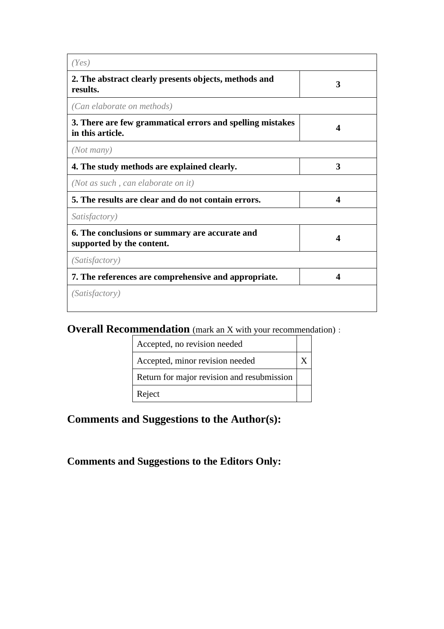| (Yes)                                                                         |                        |
|-------------------------------------------------------------------------------|------------------------|
| 2. The abstract clearly presents objects, methods and<br>results.             | 3                      |
| (Can elaborate on methods)                                                    |                        |
| 3. There are few grammatical errors and spelling mistakes<br>in this article. | 4                      |
| (Not many)                                                                    |                        |
| 4. The study methods are explained clearly.                                   | 3                      |
| (Not as such, can elaborate on it)                                            |                        |
| 5. The results are clear and do not contain errors.                           | $\boldsymbol{\Lambda}$ |
| Satisfactory)                                                                 |                        |
| 6. The conclusions or summary are accurate and<br>supported by the content.   | $\boldsymbol{\Delta}$  |
| <i>(Satisfactory)</i>                                                         |                        |
| 7. The references are comprehensive and appropriate.                          | Δ                      |
| <i>(Satisfactory)</i>                                                         |                        |

# **Overall Recommendation** (mark an X with your recommendation):

| Accepted, no revision needed               |  |
|--------------------------------------------|--|
| Accepted, minor revision needed            |  |
| Return for major revision and resubmission |  |
| Reject                                     |  |

**Comments and Suggestions to the Author(s):**

**Comments and Suggestions to the Editors Only:**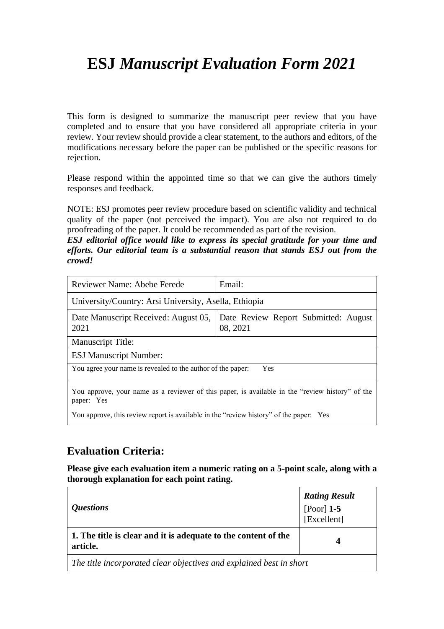# **ESJ** *Manuscript Evaluation Form 2021*

This form is designed to summarize the manuscript peer review that you have completed and to ensure that you have considered all appropriate criteria in your review. Your review should provide a clear statement, to the authors and editors, of the modifications necessary before the paper can be published or the specific reasons for rejection.

Please respond within the appointed time so that we can give the authors timely responses and feedback.

NOTE: ESJ promotes peer review procedure based on scientific validity and technical quality of the paper (not perceived the impact). You are also not required to do proofreading of the paper. It could be recommended as part of the revision.

*ESJ editorial office would like to express its special gratitude for your time and efforts. Our editorial team is a substantial reason that stands ESJ out from the crowd!*

| Reviewer Name: Abebe Ferede                                                                                   | Email:                                           |  |
|---------------------------------------------------------------------------------------------------------------|--------------------------------------------------|--|
| University/Country: Arsi University, Asella, Ethiopia                                                         |                                                  |  |
| Date Manuscript Received: August 05,<br>2021                                                                  | Date Review Report Submitted: August<br>08, 2021 |  |
| <b>Manuscript Title:</b>                                                                                      |                                                  |  |
| <b>ESJ Manuscript Number:</b>                                                                                 |                                                  |  |
| You agree your name is revealed to the author of the paper:<br>Yes                                            |                                                  |  |
| You approve, your name as a reviewer of this paper, is available in the "review history" of the<br>paper: Yes |                                                  |  |
| You approve, this review report is available in the "review history" of the paper: Yes                        |                                                  |  |

#### **Evaluation Criteria:**

**Please give each evaluation item a numeric rating on a 5-point scale, along with a thorough explanation for each point rating.**

| <i><b>Questions</b></i>                                                    | <b>Rating Result</b><br>[Poor] $1-5$<br>[Excellent] |
|----------------------------------------------------------------------------|-----------------------------------------------------|
| 1. The title is clear and it is adequate to the content of the<br>article. | 4                                                   |
| The title incorporated clear objectives and explained best in short        |                                                     |